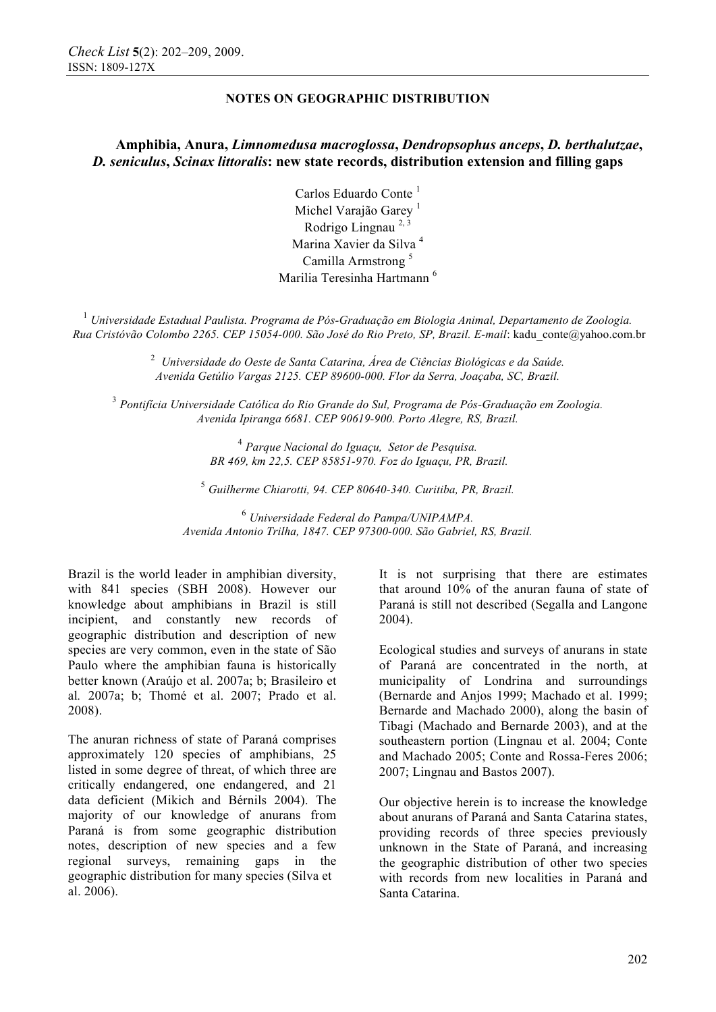# **Amphibia, Anura,** *Limnomedusa macroglossa***,** *Dendropsophus anceps***,** *D. berthalutzae***,**  *D. seniculus***,** *Scinax littoralis***: new state records, distribution extension and filling gaps**

Carlos Eduardo Conte<sup>1</sup> Michel Varajão Garey<sup>1</sup> Rodrigo Lingnau  $^{2, 3}$ Marina Xavier da Silva <sup>4</sup> Camilla Armstrong <sup>5</sup> Marilia Teresinha Hartmann <sup>6</sup>

<sup>1</sup> *Universidade Estadual Paulista. Programa de Pós-Graduação em Biologia Animal, Departamento de Zoologia. Rua Cristóvão Colombo 2265. CEP 15054-000. São José do Rio Preto, SP, Brazil. E-mail*: kadu\_conte@yahoo.com.br

> <sup>2</sup> Universidade do Oeste de Santa Catarina, Área de Ciências Biológicas e da Saúde. *Avenida Getúlio Vargas 2125. CEP 89600-000. Flor da Serra, Joaçaba, SC, Brazil.*

<sup>3</sup> *Pontifícia Universidade Católica do Rio Grande do Sul, Programa de Pós-Graduação em Zoologia. Avenida Ipiranga 6681. CEP 90619-900. Porto Alegre, RS, Brazil.*

> <sup>4</sup> *Parque Nacional do Iguaçu, Setor de Pesquisa. BR 469, km 22,5. CEP 85851-970. Foz do Iguaçu, PR, Brazil.*

<sup>5</sup> *Guilherme Chiarotti, 94. CEP 80640-340. Curitiba, PR, Brazil.*

<sup>6</sup> *Universidade Federal do Pampa/UNIPAMPA. Avenida Antonio Trilha, 1847. CEP 97300-000. São Gabriel, RS, Brazil.* 

Brazil is the world leader in amphibian diversity, with 841 species (SBH 2008). However our knowledge about amphibians in Brazil is still incipient, and constantly new records of geographic distribution and description of new species are very common, even in the state of São Paulo where the amphibian fauna is historically better known (Araújo et al. 2007a; b; Brasileiro et al*.* 2007a; b; Thomé et al. 2007; Prado et al. 2008).

The anuran richness of state of Paraná comprises approximately 120 species of amphibians, 25 listed in some degree of threat, of which three are critically endangered, one endangered, and 21 data deficient (Mikich and Bérnils 2004). The majority of our knowledge of anurans from Paraná is from some geographic distribution notes, description of new species and a few regional surveys, remaining gaps in the geographic distribution for many species (Silva et al. 2006).

It is not surprising that there are estimates that around 10% of the anuran fauna of state of Paraná is still not described (Segalla and Langone 2004).

Ecological studies and surveys of anurans in state of Paraná are concentrated in the north, at municipality of Londrina and surroundings (Bernarde and Anjos 1999; Machado et al. 1999; Bernarde and Machado 2000), along the basin of Tibagi (Machado and Bernarde 2003), and at the southeastern portion (Lingnau et al. 2004; Conte and Machado 2005; Conte and Rossa-Feres 2006; 2007; Lingnau and Bastos 2007).

Our objective herein is to increase the knowledge about anurans of Paraná and Santa Catarina states, providing records of three species previously unknown in the State of Paraná, and increasing the geographic distribution of other two species with records from new localities in Paraná and Santa Catarina.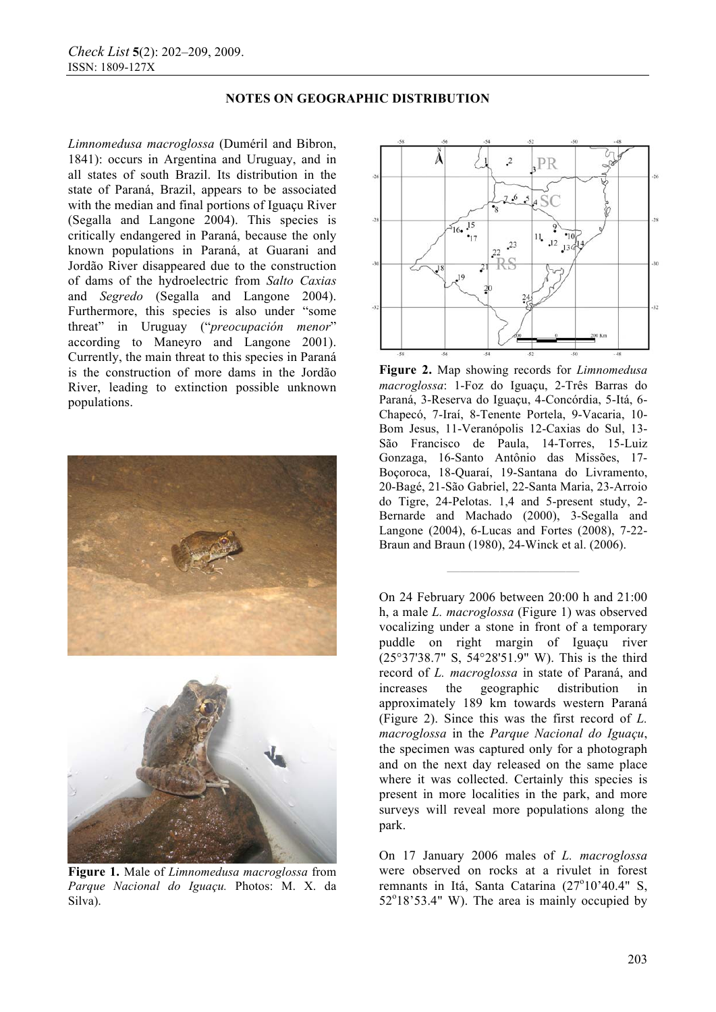*Limnomedusa macroglossa* (Duméril and Bibron, 1841): occurs in Argentina and Uruguay, and in all states of south Brazil. Its distribution in the state of Paraná, Brazil, appears to be associated with the median and final portions of Iguaçu River (Segalla and Langone 2004). This species is critically endangered in Paraná, because the only known populations in Paraná, at Guarani and Jordão River disappeared due to the construction of dams of the hydroelectric from *Salto Caxias* and *Segredo* (Segalla and Langone 2004). Furthermore, this species is also under "some threat" in Uruguay ("*preocupación menor*" according to Maneyro and Langone 2001). Currently, the main threat to this species in Paraná is the construction of more dams in the Jordão River, leading to extinction possible unknown populations.





**Figure 1.** Male of *Limnomedusa macroglossa* from *Parque Nacional do Iguaçu.* Photos: M. X. da Silva).



**Figure 2.** Map showing records for *Limnomedusa macroglossa*: 1-Foz do Iguaçu, 2-Três Barras do Paraná, 3-Reserva do Iguaçu, 4-Concórdia, 5-Itá, 6- Chapecó, 7-Iraí, 8-Tenente Portela, 9-Vacaria, 10- Bom Jesus, 11-Veranópolis 12-Caxias do Sul, 13- São Francisco de Paula, 14-Torres, 15-Luiz Gonzaga, 16-Santo Antônio das Missões, 17- Boçoroca, 18-Quaraí, 19-Santana do Livramento, 20-Bagé, 21-São Gabriel, 22-Santa Maria, 23-Arroio do Tigre, 24-Pelotas. 1,4 and 5-present study, 2- Bernarde and Machado (2000), 3-Segalla and Langone (2004), 6-Lucas and Fortes (2008), 7-22- Braun and Braun (1980), 24-Winck et al. (2006).

**——————————** 

On 24 February 2006 between 20:00 h and 21:00 h, a male *L. macroglossa* (Figure 1) was observed vocalizing under a stone in front of a temporary puddle on right margin of Iguaçu river (25°37'38.7" S, 54°28'51.9" W). This is the third record of *L. macroglossa* in state of Paraná, and increases the geographic distribution in approximately 189 km towards western Paraná (Figure 2). Since this was the first record of *L. macroglossa* in the *Parque Nacional do Iguaçu*, the specimen was captured only for a photograph and on the next day released on the same place where it was collected. Certainly this species is present in more localities in the park, and more surveys will reveal more populations along the park.

On 17 January 2006 males of *L. macroglossa* were observed on rocks at a rivulet in forest remnants in Itá, Santa Catarina (27°10'40.4" S,  $52^{\circ}18'53.4''$  W). The area is mainly occupied by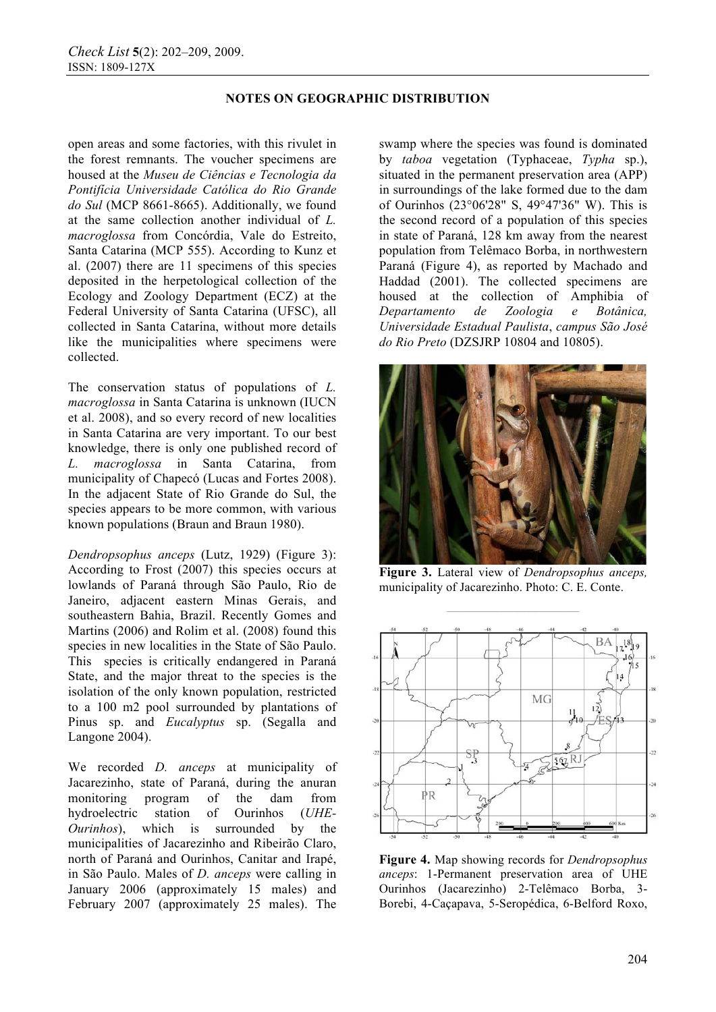open areas and some factories, with this rivulet in the forest remnants. The voucher specimens are housed at the *Museu de Ciências e Tecnologia da Pontifícia Universidade Católica do Rio Grande do Sul* (MCP 8661-8665). Additionally, we found at the same collection another individual of *L. macroglossa* from Concórdia, Vale do Estreito, Santa Catarina (MCP 555). According to Kunz et al. (2007) there are 11 specimens of this species deposited in the herpetological collection of the Ecology and Zoology Department (ECZ) at the Federal University of Santa Catarina (UFSC), all collected in Santa Catarina, without more details like the municipalities where specimens were collected.

The conservation status of populations of *L. macroglossa* in Santa Catarina is unknown (IUCN et al. 2008), and so every record of new localities in Santa Catarina are very important. To our best knowledge, there is only one published record of *L. macroglossa* in Santa Catarina, from municipality of Chapecó (Lucas and Fortes 2008). In the adjacent State of Rio Grande do Sul, the species appears to be more common, with various known populations (Braun and Braun 1980).

*Dendropsophus anceps* (Lutz, 1929) (Figure 3): According to Frost (2007) this species occurs at lowlands of Paraná through São Paulo, Rio de Janeiro, adjacent eastern Minas Gerais, and southeastern Bahia, Brazil. Recently Gomes and Martins (2006) and Rolim et al. (2008) found this species in new localities in the State of São Paulo. This species is critically endangered in Paraná State, and the major threat to the species is the isolation of the only known population, restricted to a 100 m2 pool surrounded by plantations of Pinus sp. and *Eucalyptus* sp. (Segalla and Langone 2004).

We recorded *D. anceps* at municipality of Jacarezinho, state of Paraná, during the anuran monitoring program of the dam from hydroelectric station of Ourinhos (*UHE-Ourinhos*), which is surrounded by the municipalities of Jacarezinho and Ribeirão Claro, north of Paraná and Ourinhos, Canitar and Irapé, in São Paulo. Males of *D. anceps* were calling in January 2006 (approximately 15 males) and February 2007 (approximately 25 males). The swamp where the species was found is dominated by *taboa* vegetation (Typhaceae, *Typha* sp.), situated in the permanent preservation area (APP) in surroundings of the lake formed due to the dam of Ourinhos (23°06'28" S, 49°47'36" W). This is the second record of a population of this species in state of Paraná, 128 km away from the nearest population from Telêmaco Borba, in northwestern Paraná (Figure 4), as reported by Machado and Haddad (2001). The collected specimens are housed at the collection of Amphibia of<br>Departamento de Zoologia e Botânica *Departamento de Zoologia e Botânica, Universidade Estadual Paulista*, *campus São José do Rio Preto* (DZSJRP 10804 and 10805).



**Figure 3.** Lateral view of *Dendropsophus anceps,* municipality of Jacarezinho. Photo: C. E. Conte.



**Figure 4.** Map showing records for *Dendropsophus anceps*: 1-Permanent preservation area of UHE Ourinhos (Jacarezinho) 2-Telêmaco Borba, 3- Borebi, 4-Caçapava, 5-Seropédica, 6-Belford Roxo,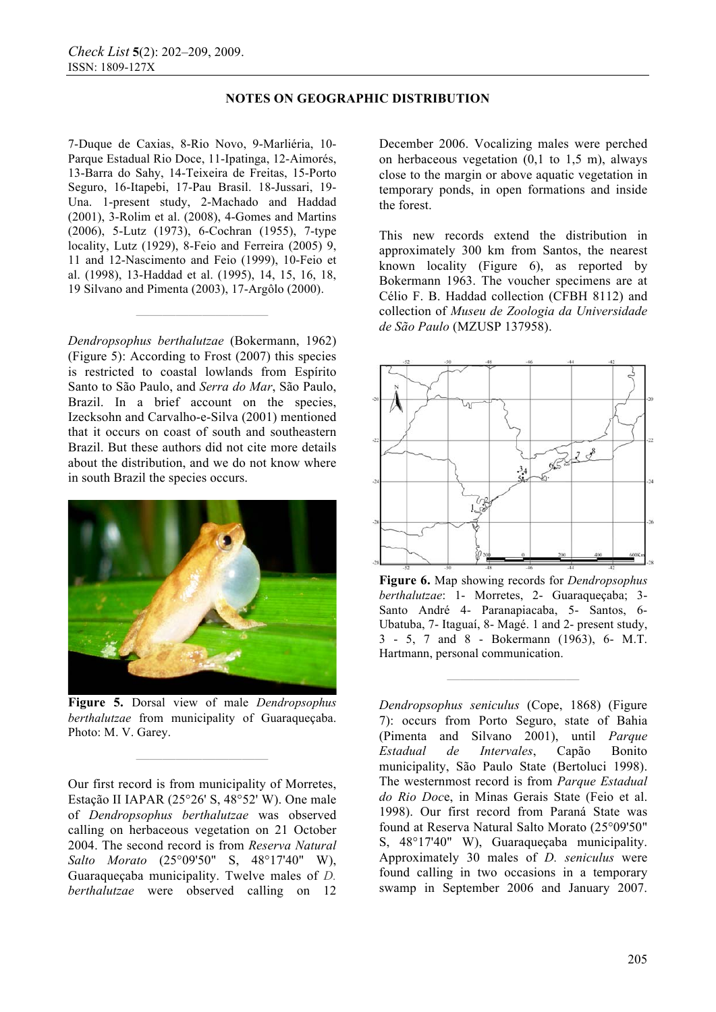7-Duque de Caxias, 8-Rio Novo, 9-Marliéria, 10- Parque Estadual Rio Doce, 11-Ipatinga, 12-Aimorés, 13-Barra do Sahy, 14-Teixeira de Freitas, 15-Porto Seguro, 16-Itapebi, 17-Pau Brasil. 18-Jussari, 19- Una. 1-present study, 2-Machado and Haddad (2001), 3-Rolim et al. (2008), 4-Gomes and Martins (2006), 5-Lutz (1973), 6-Cochran (1955), 7-type locality, Lutz (1929), 8-Feio and Ferreira (2005) 9, 11 and 12-Nascimento and Feio (1999), 10-Feio et al. (1998), 13-Haddad et al. (1995), 14, 15, 16, 18, 19 Silvano and Pimenta (2003), 17-Argôlo (2000).

*Dendropsophus berthalutzae* (Bokermann, 1962) (Figure 5): According to Frost (2007) this species is restricted to coastal lowlands from Espírito Santo to São Paulo, and *Serra do Mar*, São Paulo, Brazil. In a brief account on the species, Izecksohn and Carvalho-e-Silva (2001) mentioned that it occurs on coast of south and southeastern Brazil. But these authors did not cite more details about the distribution, and we do not know where in south Brazil the species occurs.

**——————————** 



**Figure 5.** Dorsal view of male *Dendropsophus berthalutzae* from municipality of Guaraqueçaba. Photo: M. V. Garey.

**——————————** 

Our first record is from municipality of Morretes, Estação II IAPAR (25°26' S, 48°52' W). One male of *Dendropsophus berthalutzae* was observed calling on herbaceous vegetation on 21 October 2004. The second record is from *Reserva Natural Salto Morato* (25°09'50" S, 48°17'40" W), Guaraqueçaba municipality. Twelve males of *D. berthalutzae* were observed calling on 12 December 2006. Vocalizing males were perched on herbaceous vegetation  $(0,1 \text{ to } 1,5 \text{ m})$ , always close to the margin or above aquatic vegetation in temporary ponds, in open formations and inside the forest.

This new records extend the distribution in approximately 300 km from Santos, the nearest known locality (Figure 6), as reported by Bokermann 1963. The voucher specimens are at Célio F. B. Haddad collection (CFBH 8112) and collection of *Museu de Zoologia da Universidade de São Paulo* (MZUSP 137958).



**Figure 6.** Map showing records for *Dendropsophus berthalutzae*: 1- Morretes, 2- Guaraqueçaba; 3- Santo André 4- Paranapiacaba, 5- Santos, 6- Ubatuba, 7- Itaguaí, 8- Magé. 1 and 2- present study, 3 - 5, 7 and 8 - Bokermann (1963), 6- M.T. Hartmann, personal communication.

**——————————** 

*Dendropsophus seniculus* (Cope, 1868) (Figure 7): occurs from Porto Seguro, state of Bahia (Pimenta and Silvano 2001), until *Parque Estadual de Intervales*, Capão Bonito municipality, São Paulo State (Bertoluci 1998). The westernmost record is from *Parque Estadual do Rio Doc*e, in Minas Gerais State (Feio et al. 1998). Our first record from Paraná State was found at Reserva Natural Salto Morato (25°09'50" S, 48°17'40" W), Guaraqueçaba municipality. Approximately 30 males of *D. seniculus* were found calling in two occasions in a temporary swamp in September 2006 and January 2007.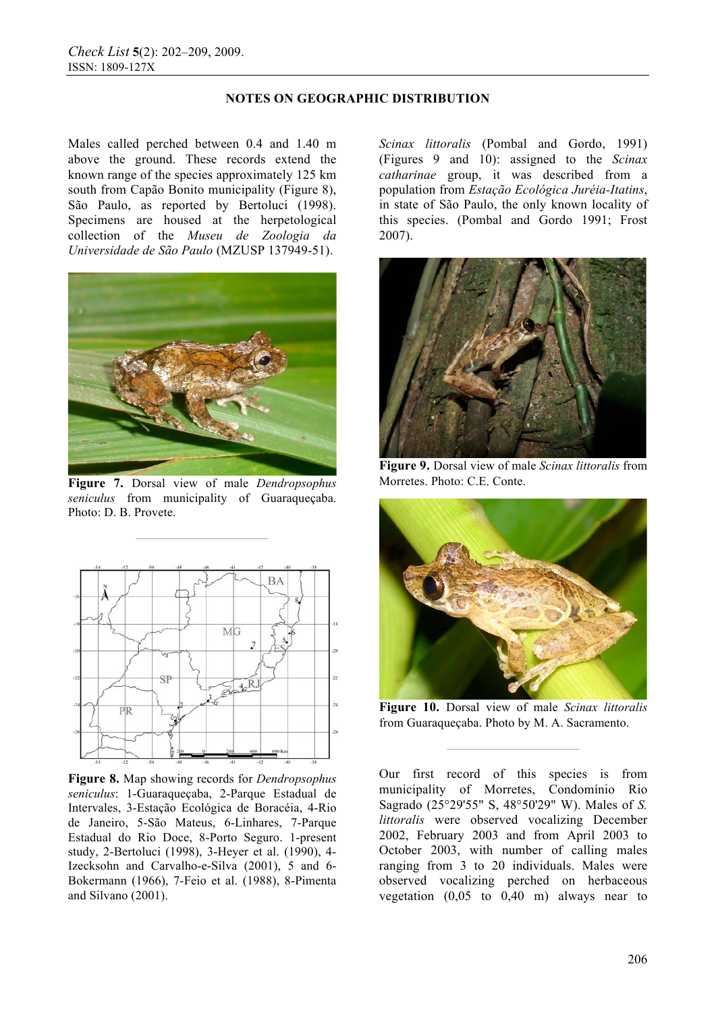Males called perched between 0.4 and 1.40 m above the ground. These records extend the known range of the species approximately 125 km south from Capão Bonito municipality (Figure 8), São Paulo, as reported by Bertoluci (1998). Specimens are housed at the herpetological collection of the *Museu de Zoologia da Universidade de São Paulo* (MZUSP 137949-51).



**Figure 7.** Dorsal view of male *Dendropsophus seniculus* from municipality of Guaraqueçaba. Photo: D. B. Provete.

**——————————** 



**Figure 8.** Map showing records for *Dendropsophus seniculus*: 1-Guaraqueçaba, 2-Parque Estadual de Intervales, 3-Estação Ecológica de Boracéia, 4-Rio de Janeiro, 5-São Mateus, 6-Linhares, 7-Parque Estadual do Rio Doce, 8-Porto Seguro. 1-present study, 2-Bertoluci (1998), 3-Heyer et al. (1990), 4- Izecksohn and Carvalho-e-Silva (2001), 5 and 6- Bokermann (1966), 7-Feio et al. (1988), 8-Pimenta and Silvano (2001).

*Scinax littoralis* (Pombal and Gordo, 1991) (Figures 9 and 10): assigned to the *Scinax catharinae* group, it was described from a population from *Estação Ecológica Juréia-Itatins*, in state of São Paulo, the only known locality of this species. (Pombal and Gordo 1991; Frost 2007).



**Figure 9.** Dorsal view of male *Scinax littoralis* from Morretes. Photo: C.E. Conte.



**Figure 10.** Dorsal view of male *Scinax littoralis* from Guaraqueçaba. Photo by M. A. Sacramento.

**——————————** 

Our first record of this species is from municipality of Morretes, Condomínio Rio Sagrado (25°29'55" S, 48°50'29" W). Males of *S. littoralis* were observed vocalizing December 2002, February 2003 and from April 2003 to October 2003, with number of calling males ranging from 3 to 20 individuals. Males were observed vocalizing perched on herbaceous vegetation  $(0.05 \text{ to } 0.40 \text{ m})$  always near to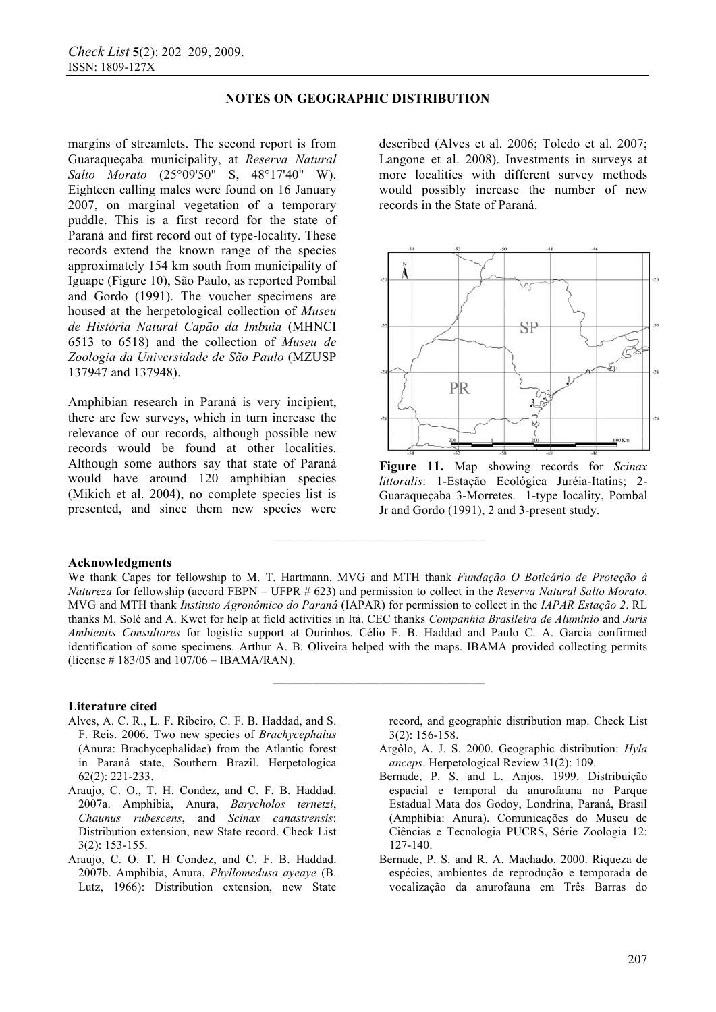margins of streamlets. The second report is from Guaraqueçaba municipality, at *Reserva Natural Salto Morato* (25°09'50" S, 48°17'40" W). Eighteen calling males were found on 16 January 2007, on marginal vegetation of a temporary puddle. This is a first record for the state of Paraná and first record out of type-locality. These records extend the known range of the species approximately 154 km south from municipality of Iguape (Figure 10), São Paulo, as reported Pombal and Gordo (1991). The voucher specimens are housed at the herpetological collection of *Museu de História Natural Capão da Imbuia* (MHNCI 6513 to 6518) and the collection of *Museu de Zoologia da Universidade de São Paulo* (MZUSP 137947 and 137948).

Amphibian research in Paraná is very incipient, there are few surveys, which in turn increase the relevance of our records, although possible new records would be found at other localities. Although some authors say that state of Paraná would have around 120 amphibian species (Mikich et al. 2004), no complete species list is presented, and since them new species were described (Alves et al. 2006; Toledo et al. 2007; Langone et al. 2008). Investments in surveys at more localities with different survey methods would possibly increase the number of new records in the State of Paraná.



**Figure 11.** Map showing records for *Scinax littoralis*: 1-Estação Ecológica Juréia-Itatins; 2- Guaraqueçaba 3-Morretes. 1-type locality, Pombal Jr and Gordo (1991), 2 and 3-present study.

#### **Acknowledgments**

We thank Capes for fellowship to M. T. Hartmann. MVG and MTH thank *Fundação O Boticário de Proteção à Natureza* for fellowship (accord FBPN – UFPR # 623) and permission to collect in the *Reserva Natural Salto Morato*. MVG and MTH thank *Instituto Agronômico do Paraná* (IAPAR) for permission to collect in the *IAPAR Estação 2*. RL thanks M. Solé and A. Kwet for help at field activities in Itá. CEC thanks *Companhia Brasileira de Alumínio* and *Juris Ambientis Consultores* for logistic support at Ourinhos. Célio F. B. Haddad and Paulo C. A. Garcia confirmed identification of some specimens. Arthur A. B. Oliveira helped with the maps. IBAMA provided collecting permits (license # 183/05 and 107/06 – IBAMA/RAN).

**————————————————** 

**————————————————** 

#### **Literature cited**

- Alves, A. C. R., L. F. Ribeiro, C. F. B. Haddad, and S. F. Reis. 2006. Two new species of *Brachycephalus* (Anura: Brachycephalidae) from the Atlantic forest in Paraná state, Southern Brazil. Herpetologica 62(2): 221-233.
- Araujo, C. O., T. H. Condez, and C. F. B. Haddad. 2007a. Amphibia, Anura, *Barycholos ternetzi*, *Chaunus rubescens*, and *Scinax canastrensis*: Distribution extension, new State record. Check List 3(2): 153-155.
- Araujo, C. O. T. H Condez, and C. F. B. Haddad. 2007b. Amphibia, Anura, *Phyllomedusa ayeaye* (B. Lutz, 1966): Distribution extension, new State

record, and geographic distribution map. Check List 3(2): 156-158.

- Argôlo, A. J. S. 2000. Geographic distribution: *Hyla anceps*. Herpetological Review 31(2): 109.
- Bernade, P. S. and L. Anjos. 1999. Distribuição espacial e temporal da anurofauna no Parque Estadual Mata dos Godoy, Londrina, Paraná, Brasil (Amphibia: Anura). Comunicações do Museu de Ciências e Tecnologia PUCRS, Série Zoologia 12: 127-140.
- Bernade, P. S. and R. A. Machado. 2000. Riqueza de espécies, ambientes de reprodução e temporada de vocalização da anurofauna em Três Barras do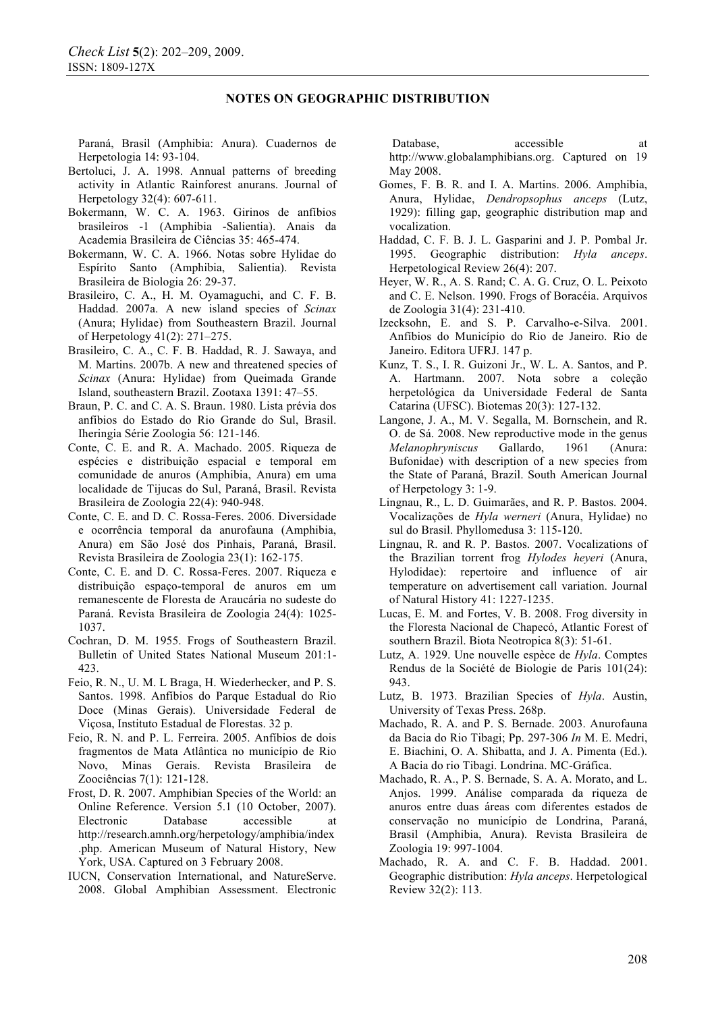Paraná, Brasil (Amphibia: Anura). Cuadernos de Herpetologia 14: 93-104.

- Bertoluci, J. A. 1998. Annual patterns of breeding activity in Atlantic Rainforest anurans. Journal of Herpetology 32(4): 607-611.
- Bokermann, W. C. A. 1963. Girinos de anfíbios brasileiros -1 (Amphibia -Salientia). Anais da Academia Brasileira de Ciências 35: 465-474.
- Bokermann, W. C. A. 1966. Notas sobre Hylidae do Espírito Santo (Amphibia, Salientia). Revista Brasileira de Biologia 26: 29-37.
- Brasileiro, C. A., H. M. Oyamaguchi, and C. F. B. Haddad. 2007a. A new island species of *Scinax* (Anura; Hylidae) from Southeastern Brazil. Journal of Herpetology 41(2): 271–275.
- Brasileiro, C. A., C. F. B. Haddad, R. J. Sawaya, and M. Martins. 2007b. A new and threatened species of *Scinax* (Anura: Hylidae) from Queimada Grande Island, southeastern Brazil. Zootaxa 1391: 47–55.
- Braun, P. C. and C. A. S. Braun. 1980. Lista prévia dos anfíbios do Estado do Rio Grande do Sul, Brasil. Iheringia Série Zoologia 56: 121-146.
- Conte, C. E. and R. A. Machado. 2005. Riqueza de espécies e distribuição espacial e temporal em comunidade de anuros (Amphibia, Anura) em uma localidade de Tijucas do Sul, Paraná, Brasil. Revista Brasileira de Zoologia 22(4): 940-948.
- Conte, C. E. and D. C. Rossa-Feres. 2006. Diversidade e ocorrência temporal da anurofauna (Amphibia, Anura) em São José dos Pinhais, Paraná, Brasil. Revista Brasileira de Zoologia 23(1): 162-175.
- Conte, C. E. and D. C. Rossa-Feres. 2007. Riqueza e distribuição espaço-temporal de anuros em um remanescente de Floresta de Araucária no sudeste do Paraná. Revista Brasileira de Zoologia 24(4): 1025- 1037.
- Cochran, D. M. 1955. Frogs of Southeastern Brazil. Bulletin of United States National Museum 201:1- 423.
- Feio, R. N., U. M. L Braga, H. Wiederhecker, and P. S. Santos. 1998. Anfíbios do Parque Estadual do Rio Doce (Minas Gerais). Universidade Federal de Viçosa, Instituto Estadual de Florestas. 32 p.
- Feio, R. N. and P. L. Ferreira. 2005. Anfíbios de dois fragmentos de Mata Atlântica no município de Rio Novo, Minas Gerais. Revista Brasileira de Zoociências 7(1): 121-128.
- Frost, D. R. 2007. Amphibian Species of the World: an Online Reference. Version 5.1 (10 October, 2007). Electronic Database accessible at http://research.amnh.org/herpetology/amphibia/index .php. American Museum of Natural History, New York, USA. Captured on 3 February 2008.
- IUCN, Conservation International, and NatureServe. 2008. Global Amphibian Assessment. Electronic

Database. accessible at http://www.globalamphibians.org. Captured on 19 May 2008.

- Gomes, F. B. R. and I. A. Martins. 2006. Amphibia, Anura, Hylidae, *Dendropsophus anceps* (Lutz, 1929): filling gap, geographic distribution map and vocalization.
- Haddad, C. F. B. J. L. Gasparini and J. P. Pombal Jr. 1995. Geographic distribution: *Hyla anceps*. Herpetological Review 26(4): 207.
- Heyer, W. R., A. S. Rand; C. A. G. Cruz, O. L. Peixoto and C. E. Nelson. 1990. Frogs of Boracéia. Arquivos de Zoologia 31(4): 231-410.
- Izecksohn, E. and S. P. Carvalho-e-Silva. 2001. Anfíbios do Município do Rio de Janeiro. Rio de Janeiro. Editora UFRJ. 147 p.
- Kunz, T. S., I. R. Guizoni Jr., W. L. A. Santos, and P. A. Hartmann. 2007. Nota sobre a coleção herpetológica da Universidade Federal de Santa Catarina (UFSC). Biotemas 20(3): 127-132.
- Langone, J. A., M. V. Segalla, M. Bornschein, and R. O. de Sá. 2008. New reproductive mode in the genus *Melanophryniscus* Gallardo, 1961 (Anura: Bufonidae) with description of a new species from the State of Paraná, Brazil. South American Journal of Herpetology 3: 1-9.
- Lingnau, R., L. D. Guimarães, and R. P. Bastos. 2004. Vocalizações de *Hyla werneri* (Anura, Hylidae) no sul do Brasil. Phyllomedusa 3: 115-120.
- Lingnau, R. and R. P. Bastos. 2007. Vocalizations of the Brazilian torrent frog *Hylodes heyeri* (Anura, Hylodidae): repertoire and influence of air temperature on advertisement call variation. Journal of Natural History 41: 1227-1235.
- Lucas, E. M. and Fortes, V. B. 2008. Frog diversity in the Floresta Nacional de Chapecó, Atlantic Forest of southern Brazil. Biota Neotropica 8(3): 51-61.
- Lutz, A. 1929. Une nouvelle espèce de *Hyla*. Comptes Rendus de la Société de Biologie de Paris 101(24): 943.
- Lutz, B. 1973. Brazilian Species of *Hyla*. Austin, University of Texas Press. 268p.
- Machado, R. A. and P. S. Bernade. 2003. Anurofauna da Bacia do Rio Tibagi; Pp. 297-306 *In* M. E. Medri, E. Biachini, O. A. Shibatta, and J. A. Pimenta (Ed.). A Bacia do rio Tibagi. Londrina. MC-Gráfica.
- Machado, R. A., P. S. Bernade, S. A. A. Morato, and L. Anjos. 1999. Análise comparada da riqueza de anuros entre duas áreas com diferentes estados de conservação no município de Londrina, Paraná, Brasil (Amphibia, Anura). Revista Brasileira de Zoologia 19: 997-1004.
- Machado, R. A. and C. F. B. Haddad. 2001. Geographic distribution: *Hyla anceps*. Herpetological Review 32(2): 113.